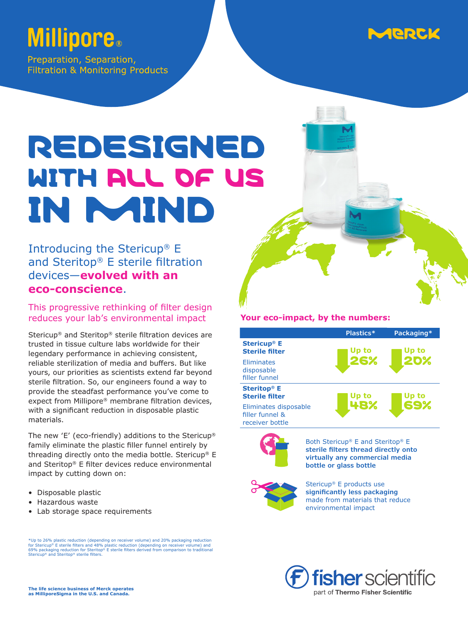### Aeeld

## **Millipore**.

Preparation, Separation, **Filtration & Monitoring Products** 

# REDESIGNED WITH ALL OF US IN MIND

#### Introducing the Stericup® E and Steritop® E sterile filtration devices—**evolved with an eco-conscience**.

This progressive rethinking of filter design reduces your lab's environmental impact

Stericup® and Steritop® sterile filtration devices are trusted in tissue culture labs worldwide for their legendary performance in achieving consistent, reliable sterilization of media and buffers. But like yours, our priorities as scientists extend far beyond sterile filtration. So, our engineers found a way to provide the steadfast performance you've come to expect from Millipore® membrane filtration devices, with a significant reduction in disposable plastic materials.

The new 'E' (eco-friendly) additions to the Stericup® family eliminate the plastic filler funnel entirely by threading directly onto the media bottle. Stericup® E and Steritop® E filter devices reduce environmental impact by cutting down on:

- Disposable plastic
- Hazardous waste
- Lab storage space requirements

\*Up to 26% plastic reduction (depending on receiver volume) and 20% packaging reduction<br>for Stericup® E sterile filters and 48% plastic reduction (depending on receiver volume) and<br>69% packaging reduction for Steritop® E s ricup® E sterile filters and 48% plastic reduction (departured.com)<br>Deligions reduction for Charitag® E sterile filters deriv Transpary continuous commences are come and the fishers.

#### **Your eco-impact, by the numbers:**

|                                                             | Plastics* | Packaging*   |
|-------------------------------------------------------------|-----------|--------------|
| <b>Stericup<sup>®</sup></b> E<br><b>Sterile filter</b>      | Up to     | Up to        |
| <b>Eliminates</b><br>disposable<br>filler funnel            | 26%       | <b>2D%</b>   |
| <b>Steritop® E</b><br><b>Sterile filter</b>                 | Up to     | Up to<br>69% |
| Eliminates disposable<br>filler funnel &<br>receiver bottle | 48%       |              |



Both Stericup® E and Steritop® E **sterile filters thread directly onto virtually any commercial media bottle or glass bottle**



Stericup® E products use **significantly less packaging** made from materials that reduce environmental impact